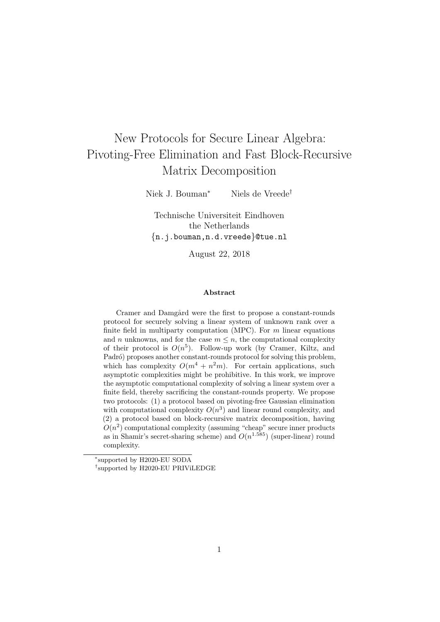# New Protocols for Secure Linear Algebra: Pivoting-Free Elimination and Fast Block-Recursive Matrix Decomposition

Niek J. Bouman<sup>∗</sup> Niels de Vreede†

Technische Universiteit Eindhoven the Netherlands {n.j.bouman,n.d.vreede}@tue.nl

August 22, 2018

#### Abstract

Cramer and Damgård were the first to propose a constant-rounds protocol for securely solving a linear system of unknown rank over a finite field in multiparty computation (MPC). For  $m$  linear equations and *n* unknowns, and for the case  $m \leq n$ , the computational complexity of their protocol is  $O(n^5)$ . Follow-up work (by Cramer, Kiltz, and Padró) proposes another constant-rounds protocol for solving this problem, which has complexity  $O(m^4 + n^2m)$ . For certain applications, such asymptotic complexities might be prohibitive. In this work, we improve the asymptotic computational complexity of solving a linear system over a finite field, thereby sacrificing the constant-rounds property. We propose two protocols: (1) a protocol based on pivoting-free Gaussian elimination with computational complexity  $O(n^3)$  and linear round complexity, and (2) a protocol based on block-recursive matrix decomposition, having  $O(n^2)$  computational complexity (assuming "cheap" secure inner products as in Shamir's secret-sharing scheme) and  $O(n^{1.585})$  (super-linear) round complexity.

<sup>∗</sup> supported by H2020-EU SODA

<sup>†</sup> supported by H2020-EU PRIViLEDGE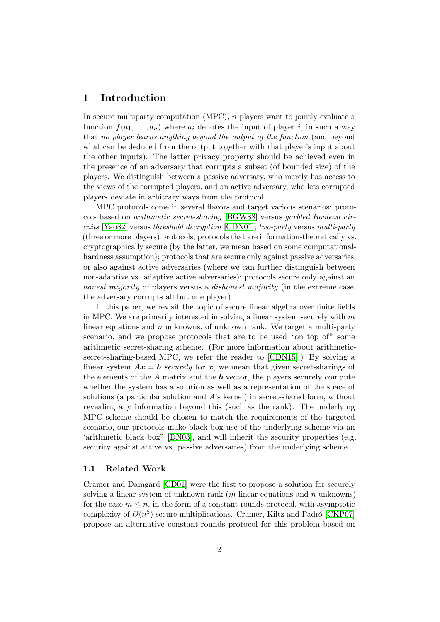# 1 Introduction

In secure multiparty computation (MPC),  $n$  players want to jointly evaluate a function  $f(a_1, \ldots, a_n)$  where  $a_i$  denotes the input of player i, in such a way that no player learns anything beyond the output of the function (and beyond what can be deduced from the output together with that player's input about the other inputs). The latter privacy property should be achieved even in the presence of an adversary that corrupts a subset (of bounded size) of the players. We distinguish between a passive adversary, who merely has access to the views of the corrupted players, and an active adversary, who lets corrupted players deviate in arbitrary ways from the protocol.

MPC protocols come in several flavors and target various scenarios: protocols based on arithmetic secret-sharing [\[BGW88\]](#page-18-0) versus garbled Boolean circuits [\[Yao82\]](#page-19-0) versus threshold decryption [\[CDN01\]](#page-18-1); two-party versus multi-party (three or more players) protocols; protocols that are information-theoretically vs. cryptographically secure (by the latter, we mean based on some computationalhardness assumption); protocols that are secure only against passive adversaries, or also against active adversaries (where we can further distinguish between non-adaptive vs. adaptive active adversaries); protocols secure only against an honest majority of players versus a *dishonest majority* (in the extreme case, the adversary corrupts all but one player).

In this paper, we revisit the topic of secure linear algebra over finite fields in MPC. We are primarily interested in solving a linear system securely with  $m$ linear equations and  $n$  unknowns, of unknown rank. We target a multi-party scenario, and we propose protocols that are to be used "on top of" some arithmetic secret-sharing scheme. (For more information about arithmeticsecret-sharing-based MPC, we refer the reader to [\[CDN15\]](#page-18-2).) By solving a linear system  $Ax = b$  securely for x, we mean that given secret-sharings of the elements of the  $A$  matrix and the  $b$  vector, the players securely compute whether the system has a solution as well as a representation of the space of solutions (a particular solution and A's kernel) in secret-shared form, without revealing any information beyond this (such as the rank). The underlying MPC scheme should be chosen to match the requirements of the targeted scenario, our protocols make black-box use of the underlying scheme via an "arithmetic black box" [\[DN03\]](#page-18-3), and will inherit the security properties (e.g. security against active vs. passive adversaries) from the underlying scheme.

#### 1.1 Related Work

Cramer and Damgård [\[CD01\]](#page-18-4) were the first to propose a solution for securely solving a linear system of unknown rank  $(m \text{ linear equations and } n \text{ unknowns})$ for the case  $m \leq n$ , in the form of a constant-rounds protocol, with asymptotic complexity of  $O(n^5)$  secure multiplications. Cramer, Kiltz and Padró [\[CKP07\]](#page-18-5) propose an alternative constant-rounds protocol for this problem based on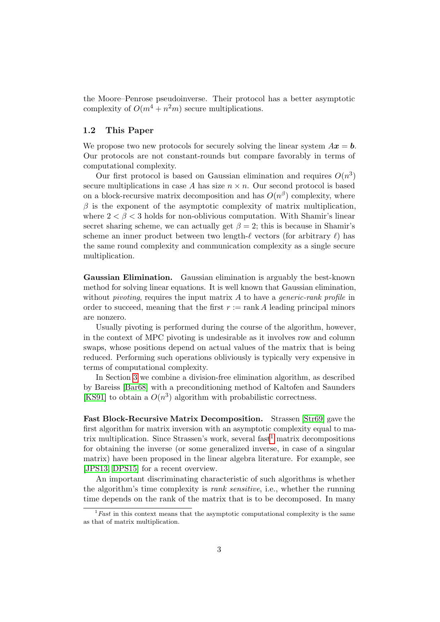the Moore–Penrose pseudoinverse. Their protocol has a better asymptotic complexity of  $O(m^4 + n^2m)$  secure multiplications.

#### 1.2 This Paper

We propose two new protocols for securely solving the linear system  $Ax = b$ . Our protocols are not constant-rounds but compare favorably in terms of computational complexity.

Our first protocol is based on Gaussian elimination and requires  $O(n^3)$ secure multiplications in case A has size  $n \times n$ . Our second protocol is based on a block-recursive matrix decomposition and has  $O(n^{\beta})$  complexity, where  $\beta$  is the exponent of the asymptotic complexity of matrix multiplication, where  $2 < \beta < 3$  holds for non-oblivious computation. With Shamir's linear secret sharing scheme, we can actually get  $\beta = 2$ ; this is because in Shamir's scheme an inner product between two length- $\ell$  vectors (for arbitrary  $\ell$ ) has the same round complexity and communication complexity as a single secure multiplication.

Gaussian Elimination. Gaussian elimination is arguably the best-known method for solving linear equations. It is well known that Gaussian elimination, without *pivoting*, requires the input matrix  $A$  to have a *generic-rank profile* in order to succeed, meaning that the first  $r := \text{rank } A$  leading principal minors are nonzero.

Usually pivoting is performed during the course of the algorithm, however, in the context of MPC pivoting is undesirable as it involves row and column swaps, whose positions depend on actual values of the matrix that is being reduced. Performing such operations obliviously is typically very expensive in terms of computational complexity.

In Section [3](#page-4-0) we combine a division-free elimination algorithm, as described by Bareiss [\[Bar68\]](#page-17-0) with a preconditioning method of Kaltofen and Saunders [\[KS91\]](#page-19-1) to obtain a  $O(n^3)$  algorithm with probabilistic correctness.

Fast Block-Recursive Matrix Decomposition. Strassen [\[Str69\]](#page-19-2) gave the first algorithm for matrix inversion with an asymptotic complexity equal to ma-trix multiplication. Since Strassen's work, several fast<sup>[1](#page-2-0)</sup> matrix decompositions for obtaining the inverse (or some generalized inverse, in case of a singular matrix) have been proposed in the linear algebra literature. For example, see [\[JPS13,](#page-19-3) [DPS15\]](#page-19-4) for a recent overview.

An important discriminating characteristic of such algorithms is whether the algorithm's time complexity is rank sensitive, i.e., whether the running time depends on the rank of the matrix that is to be decomposed. In many

<span id="page-2-0"></span> $\overline{1\,Fast}$  in this context means that the asymptotic computational complexity is the same as that of matrix multiplication.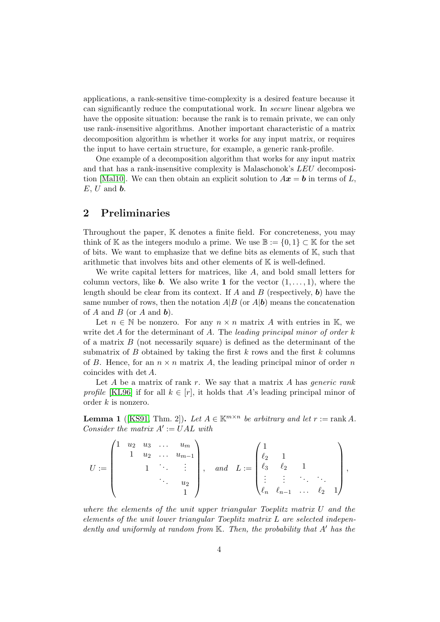applications, a rank-sensitive time-complexity is a desired feature because it can significantly reduce the computational work. In secure linear algebra we have the opposite situation: because the rank is to remain private, we can only use rank-insensitive algorithms. Another important characteristic of a matrix decomposition algorithm is whether it works for any input matrix, or requires the input to have certain structure, for example, a generic rank-profile.

One example of a decomposition algorithm that works for any input matrix and that has a rank-insensitive complexity is Malaschonok's LEU decomposi-tion [\[Mal10\]](#page-19-5). We can then obtain an explicit solution to  $A\mathbf{x} = \mathbf{b}$  in terms of L,  $E, U$  and  $\boldsymbol{b}$ .

# 2 Preliminaries

Throughout the paper, K denotes a finite field. For concreteness, you may think of K as the integers modulo a prime. We use  $\mathbb{B} := \{0,1\} \subset \mathbb{K}$  for the set of bits. We want to emphasize that we define bits as elements of  $K$ , such that arithmetic that involves bits and other elements of K is well-defined.

We write capital letters for matrices, like  $A$ , and bold small letters for column vectors, like **b**. We also write 1 for the vector  $(1, \ldots, 1)$ , where the length should be clear from its context. If  $A$  and  $B$  (respectively,  $\boldsymbol{b}$ ) have the same number of rows, then the notation  $A|B$  (or  $A|b$ ) means the concatenation of A and B (or A and  $\mathbf{b}$ ).

Let  $n \in \mathbb{N}$  be nonzero. For any  $n \times n$  matrix A with entries in K, we write det A for the determinant of A. The leading principal minor of order  $k$ of a matrix  $B$  (not necessarily square) is defined as the determinant of the submatrix of  $B$  obtained by taking the first  $k$  rows and the first  $k$  columns of B. Hence, for an  $n \times n$  matrix A, the leading principal minor of order n coincides with det A.

Let  $A$  be a matrix of rank  $r$ . We say that a matrix  $A$  has *generic rank* profile [\[KL96\]](#page-19-6) if for all  $k \in [r]$ , it holds that A's leading principal minor of order k is nonzero.

<span id="page-3-0"></span>**Lemma 1** ([\[KS91,](#page-19-1) Thm. 2]). Let  $A \in \mathbb{K}^{m \times n}$  be arbitrary and let  $r := \text{rank } A$ . Consider the matrix  $A' := U A L$  with

$$
U := \begin{pmatrix} 1 & u_2 & u_3 & \dots & u_m \\ & 1 & u_2 & \dots & u_{m-1} \\ & & 1 & \ddots & \vdots \\ & & & & u_2 \\ & & & & 1 \end{pmatrix}, \quad and \quad L := \begin{pmatrix} 1 & & & & \\ \ell_2 & 1 & & & \\ \ell_3 & \ell_2 & 1 & & \\ \vdots & \vdots & \ddots & \ddots & \\ \ell_n & \ell_{n-1} & \dots & \ell_2 & 1 \end{pmatrix},
$$

where the elements of the unit upper triangular Toeplitz matrix U and the elements of the unit lower triangular Toeplitz matrix L are selected independently and uniformly at random from  $\mathbb{K}$ . Then, the probability that A' has the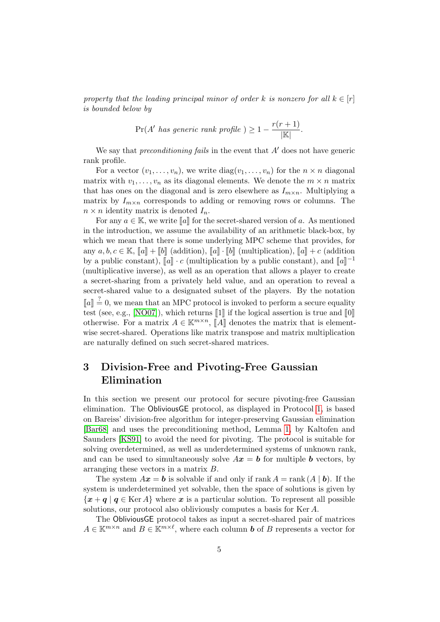property that the leading principal minor of order k is nonzero for all  $k \in [r]$ is bounded below by

$$
\Pr(A' \text{ has generic rank profile}) \ge 1 - \frac{r(r+1)}{|\mathbb{K}|}.
$$

We say that *preconditioning fails* in the event that  $A'$  does not have generic rank profile.

For a vector  $(v_1, \ldots, v_n)$ , we write  $diag(v_1, \ldots, v_n)$  for the  $n \times n$  diagonal matrix with  $v_1, \ldots, v_n$  as its diagonal elements. We denote the  $m \times n$  matrix that has ones on the diagonal and is zero elsewhere as  $I_{m \times n}$ . Multiplying a matrix by  $I_{m\times n}$  corresponds to adding or removing rows or columns. The  $n \times n$  identity matrix is denoted  $I_n$ .

For any  $a \in \mathbb{K}$ , we write  $\llbracket a \rrbracket$  for the secret-shared version of a. As mentioned in the introduction, we assume the availability of an arithmetic black-box, by which we mean that there is some underlying MPC scheme that provides, for any  $a, b, c \in \mathbb{K}$ ,  $[a] + [b]$  (addition),  $[a] \cdot [b]$  (multiplication),  $[a] + c$  (addition by a public constant),  $[\![a]\!] \cdot c$  (multiplication by a public constant), and  $[\![a]\!]^{-1}$ <br>(multiplicative inverse), as well as an operation that allows a player to greate (multiplicative inverse), as well as an operation that allows a player to create a secret-sharing from a privately held value, and an operation to reveal a secret-shared value to a designated subset of the players. By the notation  $\llbracket a \rrbracket \stackrel{?}{=} 0$ , we mean that an MPC protocol is invoked to perform a secure equality<br>test (see a.g. [NO07]), which returns  $\llbracket 1 \rrbracket$  if the logical assertion is true and  $\llbracket 0 \rrbracket$ test (see, e.g., [\[NO07\]](#page-19-7)), which returns  $\llbracket 1 \rrbracket$  if the logical assertion is true and  $\llbracket 0 \rrbracket$ otherwise. For a matrix  $A \in \mathbb{K}^{m \times n}$ ,  $[\![A]\!]$  denotes the matrix that is element-<br>wise seemst shared. Operations like matrix transpose and matrix multiplication wise secret-shared. Operations like matrix transpose and matrix multiplication are naturally defined on such secret-shared matrices.

# <span id="page-4-0"></span>3 Division-Free and Pivoting-Free Gaussian Elimination

In this section we present our protocol for secure pivoting-free Gaussian elimination. The ObliviousGE protocol, as displayed in Protocol [1,](#page-6-0) is based on Bareiss' division-free algorithm for integer-preserving Gaussian elimination [\[Bar68\]](#page-17-0) and uses the preconditioning method, Lemma [1,](#page-3-0) by Kaltofen and Saunders [\[KS91\]](#page-19-1) to avoid the need for pivoting. The protocol is suitable for solving overdetermined, as well as underdetermined systems of unknown rank, and can be used to simultaneously solve  $Ax = b$  for multiple b vectors, by arranging these vectors in a matrix B.

The system  $A\mathbf{x} = \mathbf{b}$  is solvable if and only if rank  $A = \text{rank}(A | \mathbf{b})$ . If the system is underdetermined yet solvable, then the space of solutions is given by  ${x + q | q \in \text{Ker } A}$  where x is a particular solution. To represent all possible solutions, our protocol also obliviously computes a basis for Ker A.

The ObliviousGE protocol takes as input a secret-shared pair of matrices  $A \in \mathbb{K}^{m \times n}$  and  $B \in \mathbb{K}^{m \times \ell}$ , where each column **b** of B represents a vector for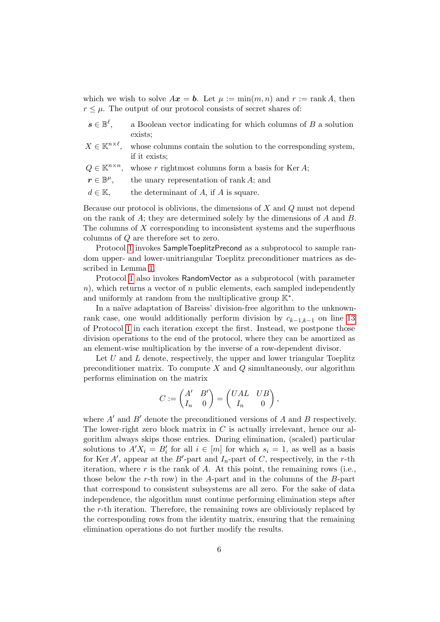which we wish to solve  $A\mathbf{x} = \mathbf{b}$ . Let  $\mu := \min(m, n)$  and  $r := \text{rank } A$ , then  $r \leq \mu$ . The output of our protocol consists of secret shares of:

| $\boldsymbol{s} \in \mathbb{B}^{\ell},$ | a Boolean vector indicating for which columns of $B$ a solution                                                       |
|-----------------------------------------|-----------------------------------------------------------------------------------------------------------------------|
|                                         | exists;                                                                                                               |
|                                         | $X \in \mathbb{K}^{n \times \ell}$ , whose columns contain the solution to the corresponding system,<br>if it exists; |
|                                         | $Q \in \mathbb{K}^{n \times n}$ , whose r rightmost columns form a basis for Ker A;                                   |
| $\boldsymbol{r}\in\mathbb{B}^{\mu},$    | the unary representation of rank $A$ ; and                                                                            |
| $d \in \mathbb{K}$ ,                    | the determinant of $A$ , if $A$ is square.                                                                            |

Because our protocol is oblivious, the dimensions of X and Q must not depend on the rank of A; they are determined solely by the dimensions of A and B. The columns of X corresponding to inconsistent systems and the superfluous columns of Q are therefore set to zero.

Protocol [1](#page-6-0) invokes SampleToeplitzPrecond as a subprotocol to sample random upper- and lower-unitriangular Toeplitz preconditioner matrices as described in Lemma [1.](#page-3-0)

Protocol [1](#page-6-0) also invokes RandomVector as a subprotocol (with parameter  $n$ ), which returns a vector of n public elements, each sampled independently and uniformly at random from the multiplicative group  $K^*$ .

In a naïve adaptation of Bareiss' division-free algorithm to the unknownrank case, one would additionally perform division by  $c_{k-1,k-1}$  on line [13](#page-6-0) of Protocol [1](#page-6-0) in each iteration except the first. Instead, we postpone those division operations to the end of the protocol, where they can be amortized as an element-wise multiplication by the inverse of a row-dependent divisor.

Let  $U$  and  $L$  denote, respectively, the upper and lower triangular Toeplitz preconditioner matrix. To compute  $X$  and  $Q$  simultaneously, our algorithm performs elimination on the matrix

$$
C:=\begin{pmatrix} A' & B' \\ I_n & 0 \end{pmatrix} = \begin{pmatrix} UAL & UB \\ I_n & 0 \end{pmatrix},
$$

where  $A'$  and  $B'$  denote the preconditioned versions of A and B respectively. The lower-right zero block matrix in  $C$  is actually irrelevant, hence our algorithm always skips those entries. During elimination, (scaled) particular solutions to  $A'X_i = B'_i$  for all  $i \in [m]$  for which  $s_i = 1$ , as well as a basis for Ker A', appear at the B'-part and  $I_n$ -part of C, respectively, in the r-th iteration, where  $r$  is the rank of  $A$ . At this point, the remaining rows (i.e., those below the r-th row) in the A-part and in the columns of the  $B$ -part that correspond to consistent subsystems are all zero. For the sake of data independence, the algorithm must continue performing elimination steps after the r-th iteration. Therefore, the remaining rows are obliviously replaced by the corresponding rows from the identity matrix, ensuring that the remaining elimination operations do not further modify the results.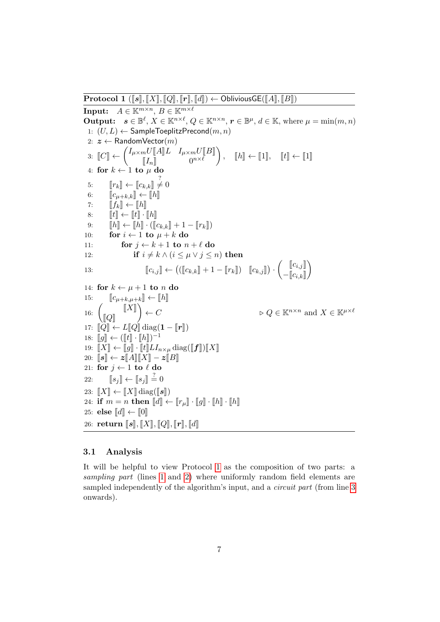<span id="page-6-0"></span>**Protocol 1** ( $\llbracket s \rrbracket$ ,  $\llbracket X \rrbracket$ ,  $\llbracket Q \rrbracket$ ,  $\llbracket r \rrbracket$ ,  $\llbracket d \rrbracket$ ) ← ObliviousGE( $\llbracket A \rrbracket$ ,  $\llbracket B \rrbracket$ ) Input:  $A \in \mathbb{K}^{m \times n}$ ,  $B \in \mathbb{K}^{m \times \ell}$ **Output:**  $s \in \mathbb{B}^{\ell}, X \in \mathbb{K}^{n \times \ell}, Q \in \mathbb{K}^{n \times n}, r \in \mathbb{B}^{\mu}, d \in \mathbb{K}$ , where  $\mu = \min(m, n)$ 1:  $(U, L) \leftarrow$  SampleToeplitzPrecond $(m, n)$ 2:  $z \leftarrow$  RandomVector $(m)$  $\exists \colon \llbracket C \rrbracket \leftarrow \begin{pmatrix} I_{\mu \times m} U \llbracket A \rrbracket L & I_{\mu \times m} U \llbracket B \rrbracket \ I_n \rrbracket & 0^{n \times \ell} \end{pmatrix}$  $\llbracket I_n \rrbracket$   $0^{n \times \ell}$  $\Big), \quad \llbracket h \rrbracket \leftarrow \llbracket 1 \rrbracket, \quad \llbracket t \rrbracket \leftarrow \llbracket 1 \rrbracket$ 4: for  $k \leftarrow 1$  to  $\mu$  do 5:  $[r_k] \leftarrow [c_{k,k}] \neq 0$ <br>6.  $[r_k] \leftarrow [c_{k,k}]$ ? 6:  $\begin{bmatrix} c_{\mu+k,k} \\ \ell^2 \end{bmatrix} \leftarrow \begin{bmatrix} h \\ h \end{bmatrix}$ <br>7:  $\begin{bmatrix} f_k \\ \ell^2 \end{bmatrix} \leftarrow \begin{bmatrix} h \\ h \end{bmatrix}$ 7:  $\llbracket f_k \rrbracket \leftarrow \llbracket h \rrbracket$ <br>8:  $\llbracket t \rrbracket \leftarrow \llbracket t \rrbracket$ . 8:  $\llbracket t \rrbracket \leftarrow \llbracket t \rrbracket \cdot \llbracket h \rrbracket$ <br>9:  $\llbracket h \rrbracket \leftarrow \llbracket h \rrbracket \cdot (\llbracket h \rrbracket)$ 9:  $\llbracket h \rrbracket \leftarrow \llbracket h \rrbracket \cdot (\llbracket c_{k,k} \rrbracket + 1 - \llbracket r_k \rrbracket)$ <br>10: **for**  $i \leftarrow 1$  to  $\mu + k$  do for  $i \leftarrow 1$  to  $\mu + k$  do 11: for  $j \leftarrow k + 1$  to  $n + \ell$  do 12: if  $i \neq k \wedge (i \leq \mu \vee j \leq n)$  then 13:  $\llbracket c_{i,j} \rrbracket \leftarrow \left( (\llbracket c_{k,k} \rrbracket + 1 - \llbracket r_k \rrbracket) \quad \llbracket c_{k,j} \rrbracket \right) \cdot \left( \begin{matrix} \llbracket c_{i,j} \rrbracket \ - \llbracket c_{i,k} \rrbracket \end{matrix} \right)$  $-\llbracket c_{i,k} \rrbracket$  $\setminus$ 14: for  $k \leftarrow \mu + 1$  to n do 15:  $\llbracket c_{\mu+k,\mu+k} \rrbracket \leftarrow \llbracket h \rrbracket$ 16:  $\llbracket X \rrbracket$  $\begin{bmatrix} Q \end{bmatrix}$  $\setminus$  $\rhd Q \in \mathbb{K}^{n \times n}$  and  $X \in \mathbb{K}^{\mu \times \ell}$ 17:  $\|\vec{Q}\| \leftarrow L\|\vec{Q}\| \operatorname{diag}(\mathbf{1} - \llbracket \mathbf{r} \rrbracket)$ 18:  $\llbracket g \rrbracket \leftarrow (\llbracket t \rrbracket \cdot \llbracket h \rrbracket)^{-1}$ <br>10:  $\llbracket \mathbf{v} \rrbracket$ ,  $\llbracket \mathbf{a} \rrbracket$ ,  $\llbracket t \rrbracket$ ,  $I$ 19:  $\llbracket X \rrbracket \leftarrow \llbracket g \rrbracket \cdot \llbracket t \rrbracket L I_{n \times \mu} \operatorname{diag}(\llbracket f \rrbracket) \llbracket X \rrbracket$ 20:  $\llbracket s \rrbracket \leftarrow z \llbracket A \rrbracket \llbracket X \rrbracket - z \llbracket B \rrbracket$ 21: for  $j \leftarrow 1$  to  $\ell$  do 22:  $\llbracket s_j \rrbracket \leftarrow \llbracket s_j \rrbracket \stackrel{?}{=} 0$ 23:  $\llbracket X \rrbracket \leftarrow \llbracket X \rrbracket \operatorname{diag}(\llbracket s \rrbracket)$ 24: if  $m = n$  then  $\llbracket d \rrbracket \leftarrow \llbracket r_\mu \rrbracket \cdot \llbracket g \rrbracket \cdot \llbracket h \rrbracket \cdot \llbracket h \rrbracket$ 25: else  $\llbracket d \rrbracket \leftarrow \llbracket 0 \rrbracket$ 26: return  $\llbracket s \rrbracket, \llbracket X \rrbracket, \llbracket Q \rrbracket, \llbracket r \rrbracket, \llbracket d \rrbracket$ 

### 3.1 Analysis

It will be helpful to view Protocol [1](#page-6-0) as the composition of two parts: a sampling part (lines [1](#page-6-0) and [2\)](#page-6-0) where uniformly random field elements are sampled independently of the algorithm's input, and a *circuit part* (from line [3](#page-6-0)) onwards).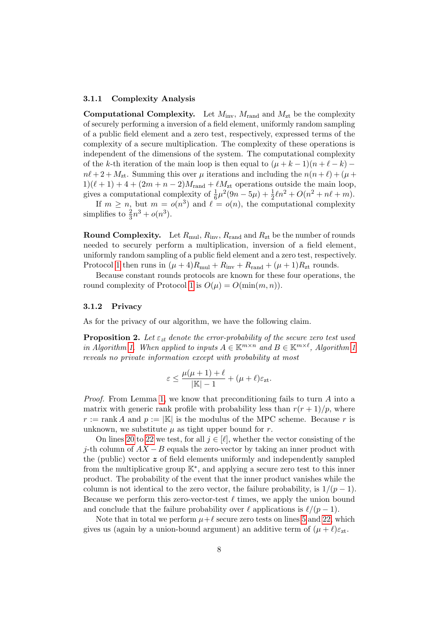#### 3.1.1 Complexity Analysis

**Computational Complexity.** Let  $M_{\text{inv}}$ ,  $M_{\text{rand}}$  and  $M_{\text{zt}}$  be the complexity of securely performing a inversion of a field element, uniformly random sampling of a public field element and a zero test, respectively, expressed terms of the complexity of a secure multiplication. The complexity of these operations is independent of the dimensions of the system. The computational complexity of the k-th iteration of the main loop is then equal to  $(\mu + k - 1)(n + \ell - k)$  –  $n\ell + 2 + M_{\rm zt}$ . Summing this over  $\mu$  iterations and including the  $n(n + \ell) + (\mu +$  $1)(\ell + 1) + 4 + (2m + n - 2)M_{\text{rand}} + \ell M_{\text{zt}}$  operations outside the main loop, gives a computational complexity of  $\frac{1}{6}\mu^2(9n-5\mu) + \frac{1}{2}\ell n^2 + O(n^2+n\ell+m)$ .

If  $m \geq n$ , but  $m = o(n^3)$  and  $\ell = o(n)$ , the computational complexity simplifies to  $\frac{2}{3}n^3 + o(n^3)$ .

**Round Complexity.** Let  $R_{\text{mul}}$ ,  $R_{\text{inv}}$ ,  $R_{\text{rand}}$  and  $R_{\text{zt}}$  be the number of rounds needed to securely perform a multiplication, inversion of a field element, uniformly random sampling of a public field element and a zero test, respectively. Protocol [1](#page-6-0) then runs in  $(\mu + 4)R_{\text{mul}} + R_{\text{inv}} + R_{\text{rand}} + (\mu + 1)R_{\text{zt}}$  rounds.

Because constant rounds protocols are known for these four operations, the round complexity of Protocol [1](#page-6-0) is  $O(\mu) = O(\min(m, n)).$ 

#### 3.1.2 Privacy

As for the privacy of our algorithm, we have the following claim.

**Proposition 2.** Let  $\varepsilon_{zt}$  denote the error-probability of the secure zero test used in Algorithm [1.](#page-6-0) When applied to inputs  $A \in \mathbb{K}^{m \times n}$  and  $B \in \mathbb{K}^{m \times \ell}$ , Algorithm [1](#page-6-0) reveals no private information except with probability at most

$$
\varepsilon \le \frac{\mu(\mu+1)+\ell}{|\mathbb{K}|-1} + (\mu+\ell)\varepsilon_{\mathbf{z}t}.
$$

Proof. From Lemma [1,](#page-3-0) we know that preconditioning fails to turn A into a matrix with generic rank profile with probability less than  $r(r+1)/p$ , where  $r := \text{rank } A$  and  $p := |\mathbb{K}|$  is the modulus of the MPC scheme. Because r is unknown, we substitute  $\mu$  as tight upper bound for r.

On lines [20](#page-6-0) to [22](#page-6-0) we test, for all  $j \in [\ell]$ , whether the vector consisting of the j-th column of  $AX - B$  equals the zero-vector by taking an inner product with the (public) vector  $z$  of field elements uniformly and independently sampled from the multiplicative group K<sup>∗</sup> , and applying a secure zero test to this inner product. The probability of the event that the inner product vanishes while the column is not identical to the zero vector, the failure probability, is  $1/(p-1)$ . Because we perform this zero-vector-test  $\ell$  times, we apply the union bound and conclude that the failure probability over  $\ell$  applications is  $\ell/(p - 1)$ .

Note that in total we perform  $\mu+\ell$  secure zero tests on lines [5](#page-6-0) and [22,](#page-6-0) which gives us (again by a union-bound argument) an additive term of  $(\mu + \ell)\varepsilon_{\rm zt}$ .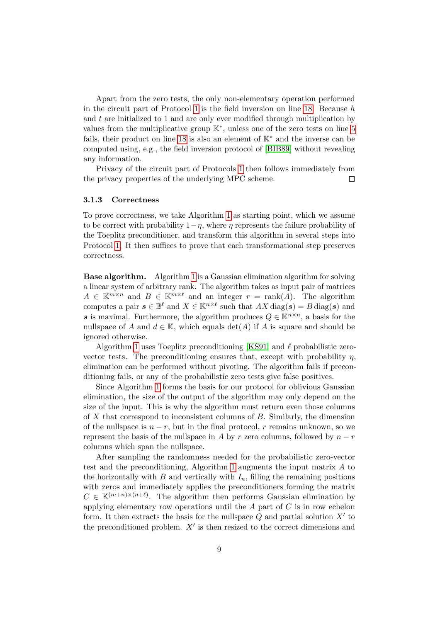Apart from the zero tests, the only non-elementary operation performed in the circuit part of Protocol [1](#page-6-0) is the field inversion on line [18.](#page-6-0) Because  $h$ and  $t$  are initialized to 1 and are only ever modified through multiplication by values from the multiplicative group K<sup>∗</sup> , unless one of the zero tests on line [5](#page-6-0) fails, their product on line [18](#page-6-0) is also an element of  $K^*$  and the inverse can be computed using, e.g., the field inversion protocol of [\[BIB89\]](#page-18-6) without revealing any information.

Privacy of the circuit part of Protocols [1](#page-6-0) then follows immediately from the privacy properties of the underlying MPC scheme.  $\Box$ 

#### 3.1.3 Correctness

To prove correctness, we take Algorithm [1](#page-6-0) as starting point, which we assume to be correct with probability  $1-\eta$ , where  $\eta$  represents the failure probability of the Toeplitz preconditioner, and transform this algorithm in several steps into Protocol [1.](#page-6-0) It then suffices to prove that each transformational step preserves correctness.

Base algorithm. Algorithm [1](#page-6-0) is a Gaussian elimination algorithm for solving a linear system of arbitrary rank. The algorithm takes as input pair of matrices  $A \in \mathbb{K}^{m \times n}$  and  $B \in \mathbb{K}^{m \times \ell}$  and an integer  $r = \text{rank}(A)$ . The algorithm computes a pair  $s \in \mathbb{B}^{\ell}$  and  $X \in \mathbb{K}^{n \times \ell}$  such that  $AX \text{ diag}(s) = B \text{ diag}(s)$  and s is maximal. Furthermore, the algorithm produces  $Q \in \mathbb{K}^{n \times n}$ , a basis for the nullspace of A and  $d \in \mathbb{K}$ , which equals  $\det(A)$  if A is square and should be ignored otherwise.

Algorithm [1](#page-6-0) uses Toeplitz preconditioning [\[KS91\]](#page-19-1) and  $\ell$  probabilistic zerovector tests. The preconditioning ensures that, except with probability  $\eta$ , elimination can be performed without pivoting. The algorithm fails if preconditioning fails, or any of the probabilistic zero tests give false positives.

Since Algorithm [1](#page-6-0) forms the basis for our protocol for oblivious Gaussian elimination, the size of the output of the algorithm may only depend on the size of the input. This is why the algorithm must return even those columns of  $X$  that correspond to inconsistent columns of  $B$ . Similarly, the dimension of the nullspace is  $n - r$ , but in the final protocol, r remains unknown, so we represent the basis of the nullspace in A by r zero columns, followed by  $n - r$ columns which span the nullspace.

After sampling the randomness needed for the probabilistic zero-vector test and the preconditioning, Algorithm [1](#page-6-0) augments the input matrix A to the horizontally with  $B$  and vertically with  $I_n$ , filling the remaining positions with zeros and immediately applies the preconditioners forming the matrix  $C \in \mathbb{K}^{(m+n)\times (n+\ell)}$ . The algorithm then performs Gaussian elimination by applying elementary row operations until the  $A$  part of  $C$  is in row echelon form. It then extracts the basis for the nullspace  $Q$  and partial solution  $X'$  to the preconditioned problem.  $X'$  is then resized to the correct dimensions and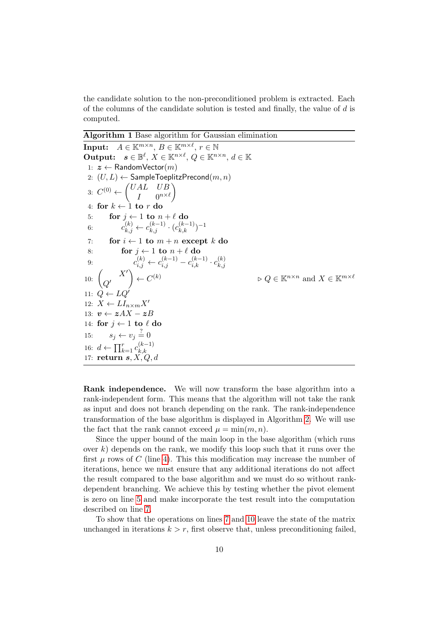the candidate solution to the non-preconditioned problem is extracted. Each of the columns of the candidate solution is tested and finally, the value of d is computed.

Algorithm 1 Base algorithm for Gaussian elimination

**Input:**  $A \in \mathbb{K}^{m \times n}$ ,  $B \in \mathbb{K}^{m \times \ell}$ ,  $r \in \mathbb{N}$ Output:  $s \in \mathbb{B}^{\ell}$ ,  $X \in \mathbb{K}^{n \times \ell}$ ,  $Q \in \mathbb{K}^{n \times n}$ ,  $d \in \mathbb{K}$ 1:  $z \leftarrow$  RandomVector $(m)$ 2:  $(U, L) \leftarrow$  SampleToeplitzPrecond $(m, n)$ 3:  $C^{(0)} \leftarrow \begin{pmatrix} UAL & UB \\ I & 0 \end{pmatrix}$  $I \qquad 0^{n\times \ell}$  $\setminus$ 4: for  $k \leftarrow 1$  to r d 5: for  $j \leftarrow 1$  to  $n + \ell$  do 6:  $c_{k,j}^{(k)} \leftarrow c_{k,j}^{(k-1)} \cdot (c_{k,k}^{(k-1)})^{-1}$ 7: for  $i \leftarrow 1$  to  $m + n$  except k do 8: for  $j \leftarrow 1$  to  $n + \ell$  do 9:  $c_{i,j}^{(k)} \leftarrow c_{i,j}^{(k-1)} - c_{i,k}^{(k-1)} \cdot c_{k,j}^{(k)}$  $_{k,j}$ 10:  $\begin{pmatrix} X' \\ O' \end{pmatrix}$  $Q^{\prime}$  $\Big) \leftarrow C$  $\varphi \in \mathbb{K}^{n \times n}$  and  $X \in \mathbb{K}^{m \times \ell}$ 11:  $Q \leftarrow LQ'$ 12:  $X \leftarrow L I_{n \times m} X'$ 13:  $v \leftarrow zAX - zB$ 14: for  $j \leftarrow 1$  to  $\ell$  do 15:  $s_j \leftarrow v_j \stackrel{?}{=} 0$ 16:  $d \leftarrow \prod_{k=1}^{r} c_{k,k}^{(k-1)}$  $_{k,k}$ 17: return  $s, X, Q, d$ 

Rank independence. We will now transform the base algorithm into a rank-independent form. This means that the algorithm will not take the rank as input and does not branch depending on the rank. The rank-independence transformation of the base algorithm is displayed in Algorithm [2.](#page-11-0) We will use the fact that the rank cannot exceed  $\mu = \min(m, n)$ .

Since the upper bound of the main loop in the base algorithm (which runs over  $k$ ) depends on the rank, we modify this loop such that it runs over the first  $\mu$  rows of C (line [4\)](#page-11-0). This this modification may increase the number of iterations, hence we must ensure that any additional iterations do not affect the result compared to the base algorithm and we must do so without rankdependent branching. We achieve this by testing whether the pivot element is zero on line [5](#page-11-0) and make incorporate the test result into the computation described on line [7.](#page-11-0)

To show that the operations on lines [7](#page-11-0) and [10](#page-11-0) leave the state of the matrix unchanged in iterations  $k > r$ , first observe that, unless preconditioning failed,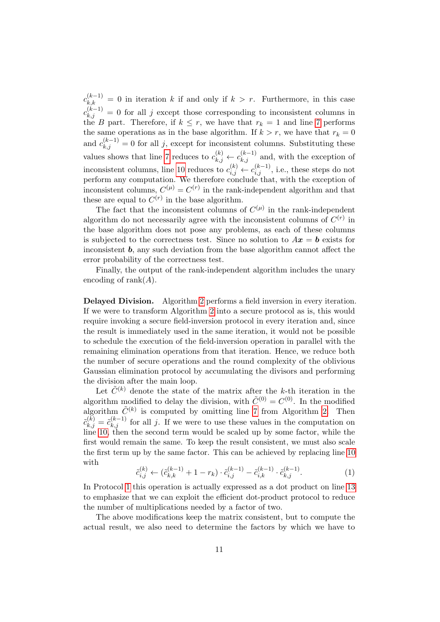$c_{k,k}^{(k-1)} = 0$  in iteration k if and only if  $k > r$ . Furthermore, in this case  $c_{k,j}^{(k-1)} = 0$  for all j except those corresponding to inconsistent columns in the B part. Therefore, if  $k \leq r$ , we have that  $r_k = 1$  and line [7](#page-11-0) performs the same operations as in the base algorithm. If  $k > r$ , we have that  $r_k = 0$ and  $c_{k,j}^{(k-1)} = 0$  for all j, except for inconsistent columns. Substituting these values shows that line [7](#page-11-0) reduces to  $c_{k,j}^{(k)} \leftarrow c_{k,j}^{(k-1)}$  and, with the exception of inconsistent columns, line [10](#page-11-0) reduces to  $c_{i,j}^{(k)} \leftarrow c_{i,j}^{(k-1)}$ , i.e., these steps do not perform any computation. We therefore conclude that, with the exception of inconsistent columns,  $C^{(\mu)} = C^{(r)}$  in the rank-independent algorithm and that these are equal to  $C^{(r)}$  in the base algorithm.

The fact that the inconsistent columns of  $C^{(\mu)}$  in the rank-independent algorithm do not necessarily agree with the inconsistent columns of  $C^{(r)}$  in the base algorithm does not pose any problems, as each of these columns is subjected to the correctness test. Since no solution to  $Ax = b$  exists for inconsistent **, any such deviation from the base algorithm cannot affect the** error probability of the correctness test.

Finally, the output of the rank-independent algorithm includes the unary encoding of rank $(A)$ .

Delayed Division. Algorithm [2](#page-11-0) performs a field inversion in every iteration. If we were to transform Algorithm [2](#page-11-0) into a secure protocol as is, this would require invoking a secure field-inversion protocol in every iteration and, since the result is immediately used in the same iteration, it would not be possible to schedule the execution of the field-inversion operation in parallel with the remaining elimination operations from that iteration. Hence, we reduce both the number of secure operations and the round complexity of the oblivious Gaussian elimination protocol by accumulating the divisors and performing the division after the main loop.

Let  $\tilde{C}^{(k)}$  denote the state of the matrix after the k-th iteration in the algorithm modified to delay the division, with  $\tilde{C}^{(0)} = C^{(0)}$ . In the modified algorithm  $\tilde{C}^{(k)}$  is computed by omitting line [7](#page-11-0) from Algorithm [2.](#page-11-0) Then  $\tilde{c}_{k,j}^{(k)} = \tilde{c}_{k,j}^{(k-1)}$  for all j. If we were to use these values in the computation on  $\lim_{n \to \infty}$  [10,](#page-11-0) then the second term would be scaled up by some factor, while the first would remain the same. To keep the result consistent, we must also scale the first term up by the same factor. This can be achieved by replacing line [10](#page-11-0) with

$$
\tilde{c}_{i,j}^{(k)} \leftarrow (\tilde{c}_{k,k}^{(k-1)} + 1 - r_k) \cdot \tilde{c}_{i,j}^{(k-1)} - \tilde{c}_{i,k}^{(k-1)} \cdot \tilde{c}_{k,j}^{(k-1)}.
$$
\n(1)

<span id="page-10-0"></span>In Protocol [1](#page-6-0) this operation is actually expressed as a dot product on line [13](#page-6-0) to emphasize that we can exploit the efficient dot-product protocol to reduce the number of multiplications needed by a factor of two.

The above modifications keep the matrix consistent, but to compute the actual result, we also need to determine the factors by which we have to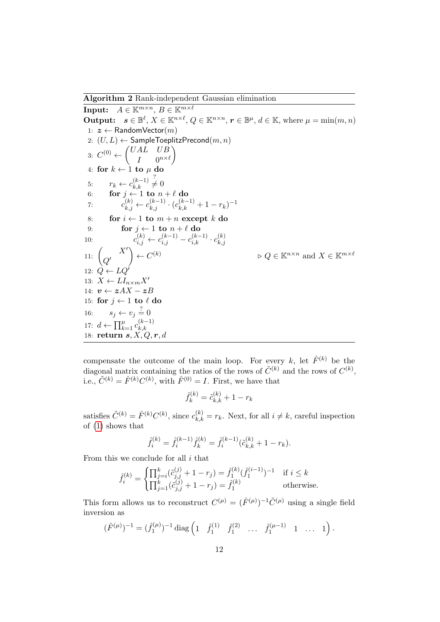Algorithm 2 Rank-independent Gaussian elimination

<span id="page-11-0"></span>Input:  $A \in \mathbb{K}^{m \times n}$ ,  $B \in \mathbb{K}^{m \times \ell}$ **Output:**  $s \in \mathbb{B}^{\ell}, X \in \mathbb{K}^{n \times \ell}, Q \in \mathbb{K}^{n \times n}, r \in \mathbb{B}^{\mu}, d \in \mathbb{K}$ , where  $\mu = \min(m, n)$ 1:  $z \leftarrow$  RandomVector $(m)$ 2:  $(U, L) \leftarrow$  SampleToeplitzPrecond $(m, n)$ 3:  $C^{(0)} \leftarrow \begin{pmatrix} UAL & UB \\ I & 0 \end{pmatrix}$  $I \qquad 0^{n\times \ell}$  $\setminus$ 4: for  $k \leftarrow 1$  to  $\mu$  do 5:  $r_k \leftarrow c_{k,k}^{(k-1)}$  $_{k,k}$  $\stackrel{?}{\neq} 0$ 6: for  $j \leftarrow 1$  to  $n + \ell$  do 7:  $c_{k,j}^{(k)} \leftarrow c_{k,j}^{(k-1)} \cdot (c_{k,k}^{(k-1)} + 1 - r_k)^{-1}$ 8: for  $i \leftarrow 1$  to  $m + n$  except k do 9: for  $j \leftarrow 1$  to  $n + \ell$  do 10:  $c_{i,j}^{(k)} \leftarrow c_{i,j}^{(k-1)} - c_{i,k}^{(k-1)} \cdot c_{k,j}^{(k)}$  $_{k,j}$ 11:  $X'$  $Q^{\prime}$  $\Big) \leftarrow C$  $\varphi \in \mathbb{K}^{n \times n}$  and  $X \in \mathbb{K}^{m \times \ell}$ 12:  $\dot{Q} \leftarrow LQ'$ 13:  $X \leftarrow L I_{n \times m} X'$ 14:  $\boldsymbol{v} \leftarrow \boldsymbol{z} A X - \boldsymbol{z} B$ 15: for  $j \leftarrow 1$  to  $\ell$  do 16:  $s_j \leftarrow v_j \stackrel{?}{=} 0$ 17:  $d \leftarrow \prod_{k=1}^{\mu} c_{k,k}^{(k-1)}$  $_{k,k}$ 18: return  $\mathbf{s}, \mathbf{X}, \mathbf{Q}, \mathbf{r}, \mathbf{d}$ 

compensate the outcome of the main loop. For every k, let  $\hat{F}^{(k)}$  be the diagonal matrix containing the ratios of the rows of  $\tilde{C}^{(k)}$  and the rows of  $C^{(k)}$ , i.e.,  $\tilde{C}^{(k)} = \hat{F}^{(k)} C^{(k)}$ , with  $\hat{F}^{(0)} = I$ . First, we have that

$$
\hat{f}_k^{(k)} = \tilde{c}_{k,k}^{(k)} + 1 - r_k
$$

satisfies  $\tilde{C}^{(k)} = \hat{F}^{(k)} C^{(k)}$ , since  $c_{k,k}^{(k)} = r_k$ . Next, for all  $i \neq k$ , careful inspection of [\(1\)](#page-10-0) shows that

$$
\hat{f}_i^{(k)} = \hat{f}_i^{(k-1)} \hat{f}_k^{(k)} = \hat{f}_i^{(k-1)} (\tilde{c}_{k,k}^{(k)} + 1 - r_k).
$$

From this we conclude for all  $i$  that

$$
\hat{f}_i^{(k)} = \begin{cases} \prod_{j=i}^k (\hat{c}_{j,j}^{(j)} + 1 - r_j) = \hat{f}_1^{(k)} (\hat{f}_1^{(i-1)})^{-1} & \text{if } i \le k\\ \prod_{j=1}^k (\hat{c}_{j,j}^{(j)} + 1 - r_j) = \hat{f}_1^{(k)} & \text{otherwise.} \end{cases}
$$

This form allows us to reconstruct  $C^{(\mu)} = (\hat{F}^{(\mu)})^{-1} \tilde{C}^{(\mu)}$  using a single field inversion as

$$
(\hat{F}^{(\mu)})^{-1} = (\hat{f}_1^{(\mu)})^{-1} \operatorname{diag} \left( 1 \quad \hat{f}_1^{(1)} \quad \hat{f}_1^{(2)} \quad \dots \quad \hat{f}_1^{(\mu-1)} \quad 1 \quad \dots \quad 1 \right).
$$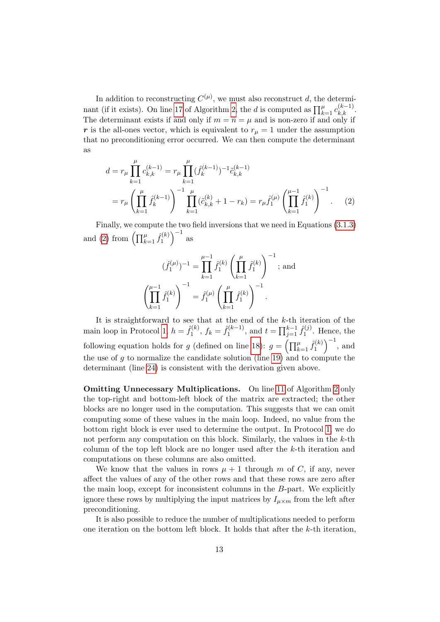In addition to reconstructing  $C^{(\mu)}$ , we must also reconstruct d, the determi-nant (if it exists). On line [17](#page-11-0) of Algorithm [2,](#page-11-0) the d is computed as  $\prod_{k=1}^{\mu} c_{k,k}^{(k-1)}$ . The determinant exists if and only if  $m = n = \mu$  and is non-zero if and only if r is the all-ones vector, which is equivalent to  $r_{\mu} = 1$  under the assumption that no preconditioning error occurred. We can then compute the determinant as

$$
d = r_{\mu} \prod_{k=1}^{\mu} c_{k,k}^{(k-1)} = r_{\mu} \prod_{k=1}^{\mu} (\hat{f}_k^{(k-1)})^{-1} \tilde{c}_{k,k}^{(k-1)}
$$
  

$$
= r_{\mu} \left( \prod_{k=1}^{\mu} \hat{f}_k^{(k-1)} \right)^{-1} \prod_{k=1}^{\mu} (\tilde{c}_{k,k}^{(k)} + 1 - r_k) = r_{\mu} \hat{f}_1^{(\mu)} \left( \prod_{k=1}^{\mu-1} \hat{f}_1^{(k)} \right)^{-1}.
$$
 (2)

Finally, we compute the two field inversions that we need in Equations [\(3.1.3\)](#page-10-0) and [\(2\)](#page-12-0) from  $\left(\prod_{k=1}^{\mu} \hat{f}_1^{(k)}\right)$  $\binom{1}{1}$  as

<span id="page-12-0"></span>
$$
(\hat{f}_1^{(\mu)})^{-1} = \prod_{k=1}^{\mu-1} \hat{f}_1^{(k)} \left( \prod_{k=1}^{\mu} \hat{f}_1^{(k)} \right)^{-1};
$$
 and  

$$
\left( \prod_{k=1}^{\mu-1} \hat{f}_1^{(k)} \right)^{-1} = \hat{f}_1^{(\mu)} \left( \prod_{k=1}^{\mu} \hat{f}_1^{(k)} \right)^{-1}.
$$

It is straightforward to see that at the end of the  $k$ -th iteration of the main loop in Protocol [1,](#page-6-0)  $h = \hat{f}_1^{(k)}$  $f_1^{(k)}$ ,  $f_k = \hat{f}_1^{(k-1)}$  $j_1^{(k-1)}$ , and  $t = \prod_{j=1}^{k-1} \hat{f}_1^{(j)}$  $i_1^{(J)}$ . Hence, the following equation holds for g (defined on line [18\)](#page-6-0):  $g = \left(\prod_{k=1}^{\mu} \hat{f}_1^{(k)}\right)$  $\binom{(\hat{k})}{1}^{-1}$ , and the use of  $g$  to normalize the candidate solution (line [19\)](#page-6-0) and to compute the determinant (line [24\)](#page-6-0) is consistent with the derivation given above.

**Omitting Unnecessary Multiplications.** On line [11](#page-11-0) of Algorithm [2](#page-11-0) only the top-right and bottom-left block of the matrix are extracted; the other blocks are no longer used in the computation. This suggests that we can omit computing some of these values in the main loop. Indeed, no value from the bottom right block is ever used to determine the output. In Protocol [1,](#page-6-0) we do not perform any computation on this block. Similarly, the values in the  $k$ -th column of the top left block are no longer used after the  $k$ -th iteration and computations on these columns are also omitted.

We know that the values in rows  $\mu + 1$  through m of C, if any, never affect the values of any of the other rows and that these rows are zero after the main loop, except for inconsistent columns in the B-part. We explicitly ignore these rows by multiplying the input matrices by  $I_{\mu \times m}$  from the left after preconditioning.

It is also possible to reduce the number of multiplications needed to perform one iteration on the bottom left block. It holds that after the k-th iteration,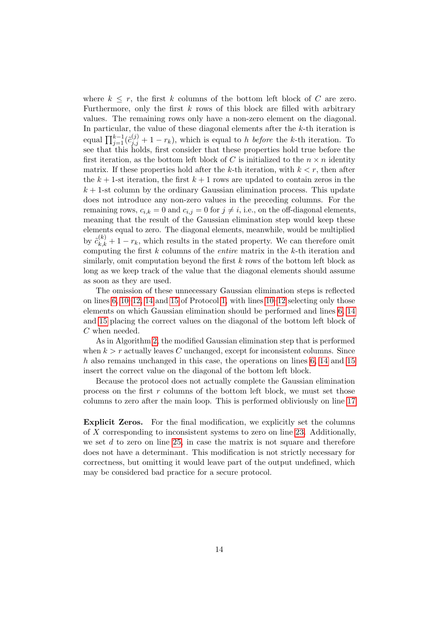where  $k \leq r$ , the first k columns of the bottom left block of C are zero. Furthermore, only the first  $k$  rows of this block are filled with arbitrary values. The remaining rows only have a non-zero element on the diagonal. In particular, the value of these diagonal elements after the k-th iteration is equal  $\prod_{j=1}^{k-1} (\tilde{c}_{j,j}^{(j)} + 1 - r_k)$ , which is equal to h before the k-th iteration. To see that this holds, first consider that these properties hold true before the first iteration, as the bottom left block of C is initialized to the  $n \times n$  identity matrix. If these properties hold after the k-th iteration, with  $k < r$ , then after the  $k + 1$ -st iteration, the first  $k + 1$  rows are updated to contain zeros in the  $k + 1$ -st column by the ordinary Gaussian elimination process. This update does not introduce any non-zero values in the preceding columns. For the remaining rows,  $c_{i,k} = 0$  and  $c_{i,j} = 0$  for  $j \neq i$ , i.e., on the off-diagonal elements, meaning that the result of the Gaussian elimination step would keep these elements equal to zero. The diagonal elements, meanwhile, would be multiplied by  $\tilde{c}_{k,k}^{(k)} + 1 - r_k$ , which results in the stated property. We can therefore omit computing the first  $k$  columns of the *entire* matrix in the  $k$ -th iteration and similarly, omit computation beyond the first k rows of the bottom left block as long as we keep track of the value that the diagonal elements should assume as soon as they are used.

The omission of these unnecessary Gaussian elimination steps is reflected on lines  $6, 10-12, 14$  and  $15$  of Protocol [1,](#page-6-0) with lines  $10-12$  selecting only those elements on which Gaussian elimination should be performed and lines [6, 14](#page-6-0) and [15](#page-6-0) placing the correct values on the diagonal of the bottom left block of C when needed.

As in Algorithm [2,](#page-11-0) the modified Gaussian elimination step that is performed when  $k > r$  actually leaves C unchanged, except for inconsistent columns. Since h also remains unchanged in this case, the operations on lines [6, 14](#page-6-0) and [15](#page-6-0) insert the correct value on the diagonal of the bottom left block.

Because the protocol does not actually complete the Gaussian elimination process on the first  $r$  columns of the bottom left block, we must set those columns to zero after the main loop. This is performed obliviously on line [17](#page-6-0)

Explicit Zeros. For the final modification, we explicitly set the columns of X corresponding to inconsistent systems to zero on line [23.](#page-6-0) Additionally, we set  $d$  to zero on line [25,](#page-6-0) in case the matrix is not square and therefore does not have a determinant. This modification is not strictly necessary for correctness, but omitting it would leave part of the output undefined, which may be considered bad practice for a secure protocol.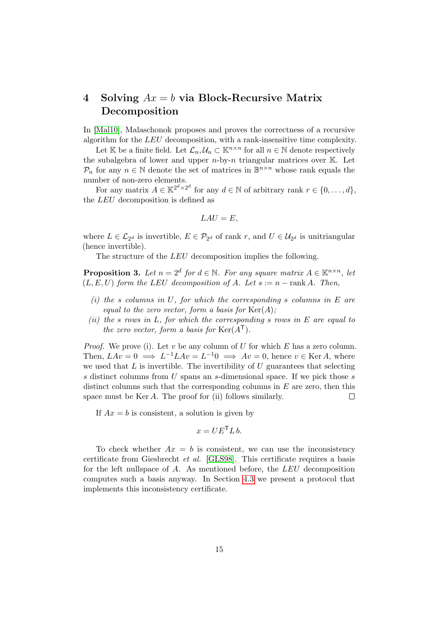# 4 Solving  $Ax = b$  via Block-Recursive Matrix Decomposition

In [\[Mal10\]](#page-19-5), Malaschonok proposes and proves the correctness of a recursive algorithm for the LEU decomposition, with a rank-insensitive time complexity.

Let K be a finite field. Let  $\mathcal{L}_n, \mathcal{U}_n \subset \mathbb{K}^{n \times n}$  for all  $n \in \mathbb{N}$  denote respectively the subalgebra of lower and upper  $n$ -by-n triangular matrices over  $K$ . Let  $P_n$  for any  $n \in \mathbb{N}$  denote the set of matrices in  $\mathbb{B}^{n \times n}$  whose rank equals the number of non-zero elements.

For any matrix  $A \in \mathbb{K}^{2^d \times 2^d}$  for any  $d \in \mathbb{N}$  of arbitrary rank  $r \in \{0, \ldots, d\}$ , the LEU decomposition is defined as

$$
LAU = E,
$$

where  $L \in \mathcal{L}_{2^d}$  is invertible,  $E \in \mathcal{P}_{2^d}$  of rank r, and  $U \in \mathcal{U}_{2^d}$  is unitriangular (hence invertible).

The structure of the *LEU* decomposition implies the following.

**Proposition 3.** Let  $n = 2^d$  for  $d \in \mathbb{N}$ . For any square matrix  $A \in \mathbb{K}^{n \times n}$ , let  $(L, E, U)$  form the LEU decomposition of A. Let  $s := n - \text{rank } A$ . Then,

- (i) the s columns in U, for which the corresponding s columns in E are equal to the zero vector, form a basis for  $\text{Ker}(A)$ ;
- (ii) the s rows in L, for which the corresponding s rows in E are equal to the zero vector, form a basis for  $\text{Ker}(A^{\mathsf{T}})$ .

*Proof.* We prove (i). Let v be any column of U for which E has a zero column. Then,  $LAv = 0 \implies L^{-1}LAv = L^{-1}0 \implies Av = 0$ , hence  $v \in \text{Ker }A$ , where we used that  $L$  is invertible. The invertibility of  $U$  guarantees that selecting s distinct columns from U spans an s-dimensional space. If we pick those s distinct columns such that the corresponding columns in  $E$  are zero, then this space must be Ker A. The proof for (ii) follows similarly.  $\Box$ 

If  $Ax = b$  is consistent, a solution is given by

$$
x = UE^\mathsf{T} L b.
$$

To check whether  $Ax = b$  is consistent, we can use the inconsistency certificate from Giesbrecht et al. [\[GLS98\]](#page-19-8). This certificate requires a basis for the left nullspace of A. As mentioned before, the LEU decomposition computes such a basis anyway. In Section [4.3](#page-17-1) we present a protocol that implements this inconsistency certificate.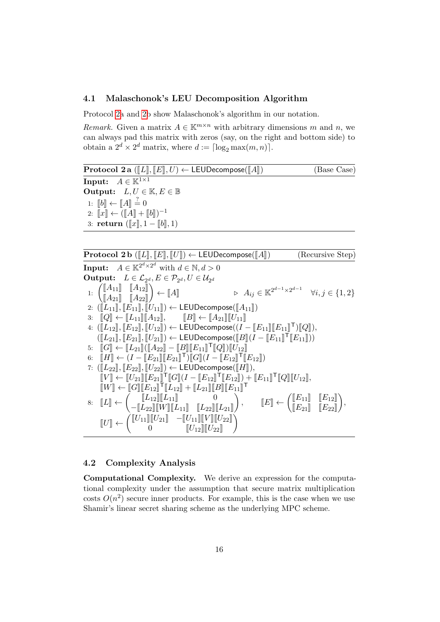## 4.1 Malaschonok's LEU Decomposition Algorithm

Protocol [2a](#page-11-0) and [2b](#page-11-0) show Malaschonok's algorithm in our notation.

Remark. Given a matrix  $A \in \mathbb{K}^{m \times n}$  with arbitrary dimensions m and n, we can always pad this matrix with zeros (say, on the right and bottom side) to obtain a  $2^d \times 2^d$  matrix, where  $d := \lceil \log_2 \max(m, n) \rceil$ .

| Protocol 2a ([L], [E], U) $\leftarrow$ LEUDecompose([A]) | (Base Case)                          |                                 |                                         |
|----------------------------------------------------------|--------------------------------------|---------------------------------|-----------------------------------------|
| Input:                                                   | $A \in \mathbb{K}^{1 \times 1}$      | Output:                         | $L, U \in \mathbb{K}, E \in \mathbb{B}$ |
| 1: $[b] \leftarrow [A] \stackrel{?}{=} 0$                | 2: $[x] \leftarrow ([A] + [b])^{-1}$ | 3: return ( $[x], 1 - [b], 1$ ) |                                         |

| Protocol 2b ([L], [E], [U]) \leftarrow LEDDecompose([A])                                                                                                                                        | (Recursive Step) |
|-------------------------------------------------------------------------------------------------------------------------------------------------------------------------------------------------|------------------|
| Input: $A \in \mathbb{K}^{2^{d} \times 2^{d}}$ with $d \in \mathbb{N}, d > 0$                                                                                                                   |                  |
| Output: $L \in \mathcal{L}_{2^{d}}, E \in \mathcal{P}_{2^{d}}, U \in \mathcal{U}_{2^{d}}$                                                                                                       |                  |
| 1: $\begin{pmatrix} [A_{11}] & [A_{12}] \\ [A_{21}] & [A_{22}] \end{pmatrix} \leftarrow [A] \qquad \Rightarrow A_{ij} \in \mathbb{K}^{2^{d-1} \times 2^{d-1}} \qquad \forall i, j \in \{1, 2\}$ |                  |
| 2: ([L_{11}], [E_{11}], [U_{11}]) \leftarrow LEUDecompose([A_{11}])                                                                                                                             |                  |
| 3: [[Q] \leftarrow [L_{11}], [H_{12}], [[B] \leftarrow [A_{21}], [[U_{11}]]                                                                                                                     |                  |
| 4: ([L_{12}], [E_{12}], [U_{12}]) \leftarrow LEUDecompose([I - [E_{11}], [E_{11}]) \cap [Q]),                                                                                                   |                  |
| ([L_{21}], [E_{21}], [U_{21}]) \leftarrow LEUDecompose([B][(I - [E_{11}], [E_{11}]))                                                                                                            |                  |
| 5: [[G] \leftarrow [L_{21}], [[A_{22}] - [B], [E_{11}], [[Q]] \cap [U_{12}]]                                                                                                                    |                  |
| 6: [[H] \leftarrow (I - [E_{21}], [E_{21}], [U_{22}]) \leftarrow LEUDecompose([H]),                                                                                                             |                  |
| 7: ([L_{22}], [E_{22}], [U_{22}]) \leftarrow LEUDecompose([H]),                                                                                                                                 |                  |
| [[V] \leftarrow [[U_{21}], [E_{21}], [U_{12}] + [L_{21}], [E_{12}], + [E_{11}], [U_{22}], [U_{12}],                                                                                             |                  |
| [[W] \leftarrow [[L_{12}], [L_{12}], [L_{22}], [L_{21}], ] \cap                                                                                                                                 |                  |

## 4.2 Complexity Analysis

Computational Complexity. We derive an expression for the computational complexity under the assumption that secure matrix multiplication costs  $O(n^2)$  secure inner products. For example, this is the case when we use Shamir's linear secret sharing scheme as the underlying MPC scheme.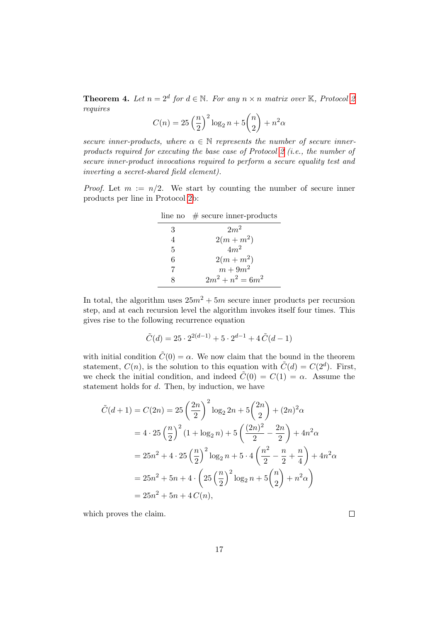**Theorem 4.** Let  $n = 2^d$  $n = 2^d$  $n = 2^d$  for  $d \in \mathbb{N}$ . For any  $n \times n$  matrix over K, Protocol 2 requires

$$
C(n) = 25\left(\frac{n}{2}\right)^{2}\log_{2}n + 5\binom{n}{2} + n^{2}\alpha
$$

secure inner-products, where  $\alpha \in \mathbb{N}$  represents the number of secure inner-products required for executing the base case of Protocol [2](#page-11-0) (i.e., the number of secure inner-product invocations required to perform a secure equality test and inverting a secret-shared field element).

*Proof.* Let  $m := n/2$ . We start by counting the number of secure inner products per line in Protocol [2b](#page-11-0):

|   | line no $\#$ secure inner-products |
|---|------------------------------------|
| 3 | $2m^2$                             |
| 4 | $2(m+m^2)$                         |
| 5 | $4m^2$                             |
| 6 | $2(m+m^2)$                         |
| 7 | $m+9m^2$                           |
|   | $2m^2 + n^2 = 6m^2$                |

In total, the algorithm uses  $25m^2 + 5m$  secure inner products per recursion step, and at each recursion level the algorithm invokes itself four times. This gives rise to the following recurrence equation

$$
\tilde{C}(d) = 25 \cdot 2^{2(d-1)} + 5 \cdot 2^{d-1} + 4 \tilde{C}(d-1)
$$

with initial condition  $\tilde{C}(0) = \alpha$ . We now claim that the bound in the theorem statement,  $C(n)$ , is the solution to this equation with  $\tilde{C}(d) = C(2^d)$ . First, we check the initial condition, and indeed  $\tilde{C}(0) = C(1) = \alpha$ . Assume the statement holds for d. Then, by induction, we have

$$
\tilde{C}(d+1) = C(2n) = 25\left(\frac{2n}{2}\right)^2 \log_2 2n + 5\left(\frac{2n}{2}\right) + (2n)^2 \alpha
$$
  
=  $4 \cdot 25\left(\frac{n}{2}\right)^2 (1 + \log_2 n) + 5\left(\frac{(2n)^2}{2} - \frac{2n}{2}\right) + 4n^2 \alpha$   
=  $25n^2 + 4 \cdot 25\left(\frac{n}{2}\right)^2 \log_2 n + 5 \cdot 4\left(\frac{n^2}{2} - \frac{n}{2} + \frac{n}{4}\right) + 4n^2 \alpha$   
=  $25n^2 + 5n + 4 \cdot \left(25\left(\frac{n}{2}\right)^2 \log_2 n + 5\left(\frac{n}{2}\right) + n^2 \alpha\right)$   
=  $25n^2 + 5n + 4C(n)$ ,

which proves the claim.

 $\Box$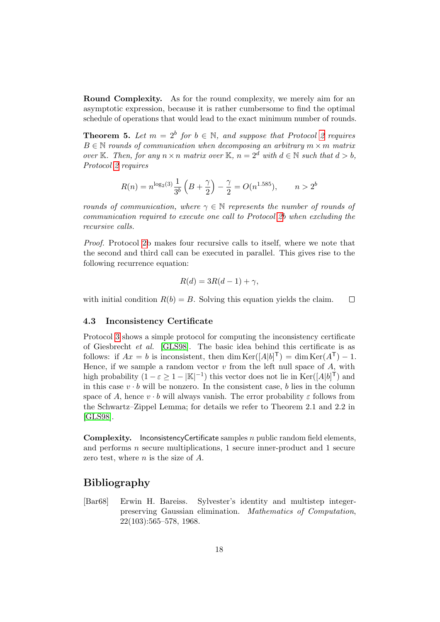Round Complexity. As for the round complexity, we merely aim for an asymptotic expression, because it is rather cumbersome to find the optimal schedule of operations that would lead to the exact minimum number of rounds.

**Theorem 5.** Let  $m = 2^b$  $m = 2^b$  $m = 2^b$  for  $b \in \mathbb{N}$ , and suppose that Protocol 2 requires  $B \in \mathbb{N}$  rounds of communication when decomposing an arbitrary  $m \times m$  matrix over K. Then, for any  $n \times n$  matrix over K,  $n = 2^d$  with  $d \in \mathbb{N}$  such that  $d > b$ , Protocol [2](#page-11-0) requires

$$
R(n) = n^{\log_2(3)} \frac{1}{3^b} \left( B + \frac{\gamma}{2} \right) - \frac{\gamma}{2} = O(n^{1.585}), \qquad n > 2^b
$$

rounds of communication, where  $\gamma \in \mathbb{N}$  represents the number of rounds of communication required to execute one call to Protocol [2b](#page-11-0) when excluding the recursive calls.

Proof. Protocol [2b](#page-11-0) makes four recursive calls to itself, where we note that the second and third call can be executed in parallel. This gives rise to the following recurrence equation:

$$
R(d) = 3R(d-1) + \gamma,
$$

with initial condition  $R(b) = B$ . Solving this equation yields the claim.  $\Box$ 

#### <span id="page-17-1"></span>4.3 Inconsistency Certificate

Protocol [3](#page-18-7) shows a simple protocol for computing the inconsistency certificate of Giesbrecht et al. [\[GLS98\]](#page-19-8). The basic idea behind this certificate is as follows: if  $Ax = b$  is inconsistent, then dim  $\text{Ker}([A|b]^\mathsf{T}) = \dim \text{Ker}(A^\mathsf{T}) - 1$ . Hence, if we sample a random vector  $v$  from the left null space of  $A$ , with high probability  $(1 - \varepsilon \ge 1 - |\mathbb{K}|^{-1})$  this vector does not lie in  $\text{Ker}([A|b]^{\mathsf{T}})$  and in this case  $v \cdot b$  will be nonzero. In the consistent case, b lies in the column space of A, hence  $v \cdot b$  will always vanish. The error probability  $\varepsilon$  follows from the Schwartz–Zippel Lemma; for details we refer to Theorem 2.1 and 2.2 in [\[GLS98\]](#page-19-8).

Complexity. InconsistencyCertificate samples n public random field elements, and performs n secure multiplications, 1 secure inner-product and 1 secure zero test, where  $n$  is the size of  $A$ .

# Bibliography

<span id="page-17-0"></span>[Bar68] Erwin H. Bareiss. Sylvester's identity and multistep integerpreserving Gaussian elimination. Mathematics of Computation, 22(103):565–578, 1968.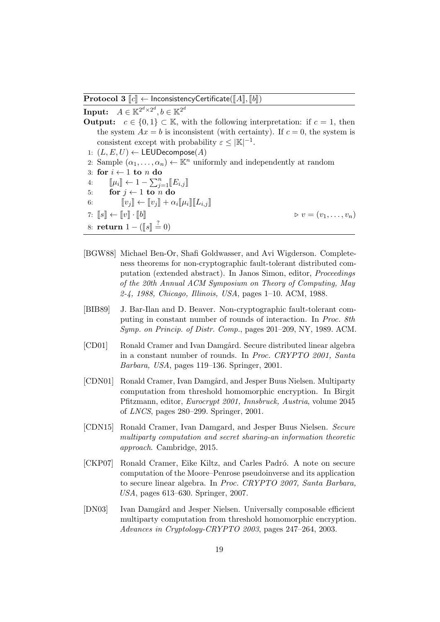**Protocol 3**  $\llbracket c \rrbracket$  ← InconsistencyCertificate( $\llbracket A \rrbracket$ ,  $\llbracket b \rrbracket$ )

 $\textbf{Input:} \quad A \in \mathbb{K}^{2^d \times 2^d}, b \in \mathbb{K}^{2^d}$ 

- **Output:**  $c \in \{0,1\} \subset \mathbb{K}$ , with the following interpretation: if  $c = 1$ , then the system  $Ax = b$  is inconsistent (with certainty). If  $c = 0$ , the system is consistent except with probability  $\varepsilon \leq |\mathbb{K}|^{-1}$ . 1:  $(L, E, U) \leftarrow \mathsf{LEUDecompose}(A)$ 2: Sample  $(\alpha_1, \ldots, \alpha_n) \leftarrow \mathbb{K}^n$  uniformly and independently at random 3: for  $i \leftarrow 1$  to n do
- 4:  $[\![\mu_i]\!] \leftarrow 1 \sum_{j=1}^n [\![E_{i,j}]\!]$ <br>5: **for**  $j \leftarrow 1$  to n do 6:  $[v_j] \leftarrow [v_j] + \alpha_i [\mu_i] [\![L_{i,j}]\!]$ 7:  $\llbracket s \rrbracket \leftarrow \llbracket v \rrbracket \cdot \llbracket b \rrbracket$   $\triangleright v = (v_1, \ldots, v_n)$ 8: **return**  $1 - (\llbracket s \rrbracket \stackrel{?}{=} 0)$
- <span id="page-18-7"></span><span id="page-18-0"></span>[BGW88] Michael Ben-Or, Shafi Goldwasser, and Avi Wigderson. Completeness theorems for non-cryptographic fault-tolerant distributed computation (extended abstract). In Janos Simon, editor, Proceedings of the 20th Annual ACM Symposium on Theory of Computing, May 2-4, 1988, Chicago, Illinois, USA, pages 1–10. ACM, 1988.
- <span id="page-18-6"></span>[BIB89] J. Bar-Ilan and D. Beaver. Non-cryptographic fault-tolerant computing in constant number of rounds of interaction. In Proc. 8th Symp. on Princip. of Distr. Comp., pages 201–209, NY, 1989. ACM.
- <span id="page-18-4"></span>[CD01] Ronald Cramer and Ivan Damgård. Secure distributed linear algebra in a constant number of rounds. In Proc. CRYPTO 2001, Santa Barbara, USA, pages 119–136. Springer, 2001.
- <span id="page-18-1"></span>[CDN01] Ronald Cramer, Ivan Damgård, and Jesper Buus Nielsen. Multiparty computation from threshold homomorphic encryption. In Birgit Pfitzmann, editor, Eurocrypt 2001, Innsbruck, Austria, volume 2045 of LNCS, pages 280–299. Springer, 2001.
- <span id="page-18-2"></span>[CDN15] Ronald Cramer, Ivan Damgard, and Jesper Buus Nielsen. Secure multiparty computation and secret sharing-an information theoretic approach. Cambridge, 2015.
- <span id="page-18-5"></span>[CKP07] Ronald Cramer, Eike Kiltz, and Carles Padró. A note on secure computation of the Moore–Penrose pseudoinverse and its application to secure linear algebra. In Proc. CRYPTO 2007, Santa Barbara, USA, pages 613–630. Springer, 2007.
- <span id="page-18-3"></span>[DN03] Ivan Damgård and Jesper Nielsen. Universally composable efficient multiparty computation from threshold homomorphic encryption. Advances in Cryptology-CRYPTO 2003, pages 247–264, 2003.